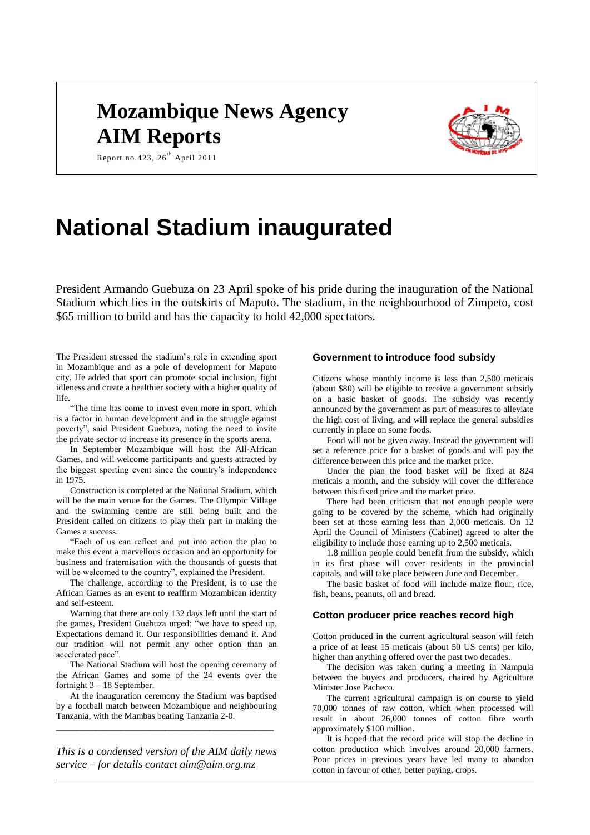# **Mozambique News Agency AIM Reports**



Report no. 423,  $26^{th}$  April 2011

# **National Stadium inaugurated**

President Armando Guebuza on 23 April spoke of his pride during the inauguration of the National Stadium which lies in the outskirts of Maputo. The stadium, in the neighbourhood of Zimpeto, cost \$65 million to build and has the capacity to hold 42,000 spectators.

The President stressed the stadium's role in extending sport in Mozambique and as a pole of development for Maputo city. He added that sport can promote social inclusion, fight idleness and create a healthier society with a higher quality of life.

"The time has come to invest even more in sport, which is a factor in human development and in the struggle against poverty", said President Guebuza, noting the need to invite the private sector to increase its presence in the sports arena.

In September Mozambique will host the All-African Games, and will welcome participants and guests attracted by the biggest sporting event since the country's independence in 1975.

Construction is completed at the National Stadium, which will be the main venue for the Games. The Olympic Village and the swimming centre are still being built and the President called on citizens to play their part in making the Games a success.

"Each of us can reflect and put into action the plan to make this event a marvellous occasion and an opportunity for business and fraternisation with the thousands of guests that will be welcomed to the country", explained the President.

The challenge, according to the President, is to use the African Games as an event to reaffirm Mozambican identity and self-esteem.

Warning that there are only 132 days left until the start of the games, President Guebuza urged: "we have to speed up. Expectations demand it. Our responsibilities demand it. And our tradition will not permit any other option than an accelerated pace".

The National Stadium will host the opening ceremony of the African Games and some of the 24 events over the fortnight 3 – 18 September.

At the inauguration ceremony the Stadium was baptised by a football match between Mozambique and neighbouring Tanzania, with the Mambas beating Tanzania 2-0.

*\_\_\_\_\_\_\_\_\_\_\_\_\_\_\_\_\_\_\_\_\_\_\_\_\_\_\_\_\_\_\_\_\_\_\_\_\_\_\_\_\_\_\_\_*

*This is a condensed version of the AIM daily news service – for details contact [aim@aim.org.mz](mailto:aim@aim.org.mz)*

### **Government to introduce food subsidy**

Citizens whose monthly income is less than 2,500 meticais (about \$80) will be eligible to receive a government subsidy on a basic basket of goods. The subsidy was recently announced by the government as part of measures to alleviate the high cost of living, and will replace the general subsidies currently in place on some foods.

Food will not be given away. Instead the government will set a reference price for a basket of goods and will pay the difference between this price and the market price.

Under the plan the food basket will be fixed at 824 meticais a month, and the subsidy will cover the difference between this fixed price and the market price.

There had been criticism that not enough people were going to be covered by the scheme, which had originally been set at those earning less than 2,000 meticais. On 12 April the Council of Ministers (Cabinet) agreed to alter the eligibility to include those earning up to 2,500 meticais.

1.8 million people could benefit from the subsidy, which in its first phase will cover residents in the provincial capitals, and will take place between June and December.

The basic basket of food will include maize flour, rice, fish, beans, peanuts, oil and bread.

# **Cotton producer price reaches record high**

Cotton produced in the current agricultural season will fetch a price of at least 15 meticais (about 50 US cents) per kilo, higher than anything offered over the past two decades.

The decision was taken during a meeting in Nampula between the buyers and producers, chaired by Agriculture Minister Jose Pacheco.

The current agricultural campaign is on course to yield 70,000 tonnes of raw cotton, which when processed will result in about 26,000 tonnes of cotton fibre worth approximately \$100 million.

It is hoped that the record price will stop the decline in cotton production which involves around 20,000 farmers. Poor prices in previous years have led many to abandon cotton in favour of other, better paying, crops.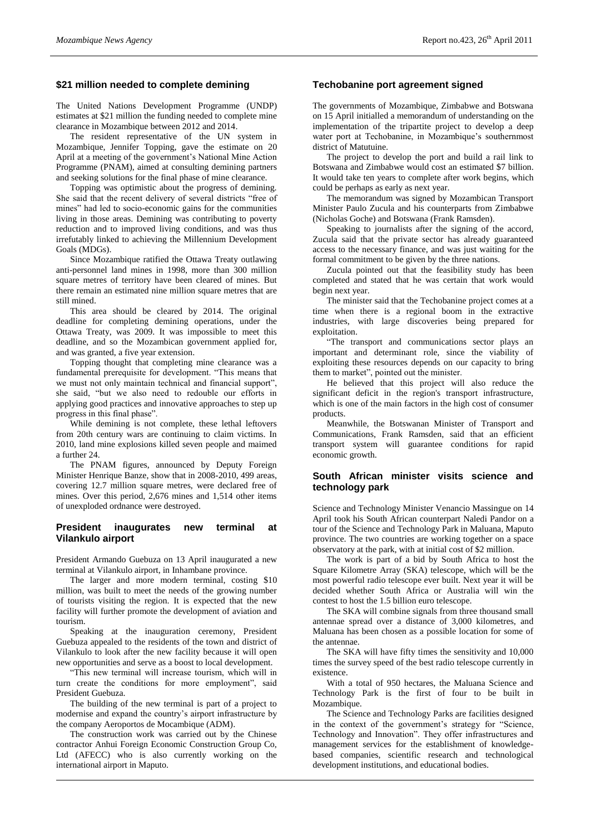# **\$21 million needed to complete demining**

The United Nations Development Programme (UNDP) estimates at \$21 million the funding needed to complete mine clearance in Mozambique between 2012 and 2014.

The resident representative of the UN system in Mozambique, Jennifer Topping, gave the estimate on 20 April at a meeting of the government's National Mine Action Programme (PNAM), aimed at consulting demining partners and seeking solutions for the final phase of mine clearance.

Topping was optimistic about the progress of demining. She said that the recent delivery of several districts "free of mines" had led to socio-economic gains for the communities living in those areas. Demining was contributing to poverty reduction and to improved living conditions, and was thus irrefutably linked to achieving the Millennium Development Goals (MDGs).

Since Mozambique ratified the Ottawa Treaty outlawing anti-personnel land mines in 1998, more than 300 million square metres of territory have been cleared of mines. But there remain an estimated nine million square metres that are still mined.

This area should be cleared by 2014. The original deadline for completing demining operations, under the Ottawa Treaty, was 2009. It was impossible to meet this deadline, and so the Mozambican government applied for, and was granted, a five year extension.

Topping thought that completing mine clearance was a fundamental prerequisite for development. "This means that we must not only maintain technical and financial support", she said, "but we also need to redouble our efforts in applying good practices and innovative approaches to step up progress in this final phase".

While demining is not complete, these lethal leftovers from 20th century wars are continuing to claim victims. In 2010, land mine explosions killed seven people and maimed a further 24.

The PNAM figures, announced by Deputy Foreign Minister Henrique Banze, show that in 2008-2010, 499 areas, covering 12.7 million square metres, were declared free of mines. Over this period, 2,676 mines and 1,514 other items of unexploded ordnance were destroyed.

### **President inaugurates new terminal at Vilankulo airport**

President Armando Guebuza on 13 April inaugurated a new terminal at Vilankulo airport, in Inhambane province.

The larger and more modern terminal, costing \$10 million, was built to meet the needs of the growing number of tourists visiting the region. It is expected that the new facility will further promote the development of aviation and tourism.

Speaking at the inauguration ceremony, President Guebuza appealed to the residents of the town and district of Vilankulo to look after the new facility because it will open new opportunities and serve as a boost to local development.

"This new terminal will increase tourism, which will in turn create the conditions for more employment", said President Guebuza.

The building of the new terminal is part of a project to modernise and expand the country's airport infrastructure by the company Aeroportos de Mocambique (ADM).

The construction work was carried out by the Chinese contractor Anhui Foreign Economic Construction Group Co, Ltd (AFECC) who is also currently working on the international airport in Maputo.

# **Techobanine port agreement signed**

The governments of Mozambique, Zimbabwe and Botswana on 15 April initialled a memorandum of understanding on the implementation of the tripartite project to develop a deep water port at Techobanine, in Mozambique's southernmost district of Matutuine.

The project to develop the port and build a rail link to Botswana and Zimbabwe would cost an estimated \$7 billion. It would take ten years to complete after work begins, which could be perhaps as early as next year.

The memorandum was signed by Mozambican Transport Minister Paulo Zucula and his counterparts from Zimbabwe (Nicholas Goche) and Botswana (Frank Ramsden).

Speaking to journalists after the signing of the accord, Zucula said that the private sector has already guaranteed access to the necessary finance, and was just waiting for the formal commitment to be given by the three nations.

Zucula pointed out that the feasibility study has been completed and stated that he was certain that work would begin next year.

The minister said that the Techobanine project comes at a time when there is a regional boom in the extractive industries, with large discoveries being prepared for exploitation.

"The transport and communications sector plays an important and determinant role, since the viability of exploiting these resources depends on our capacity to bring them to market", pointed out the minister.

He believed that this project will also reduce the significant deficit in the region's transport infrastructure, which is one of the main factors in the high cost of consumer products.

Meanwhile, the Botswanan Minister of Transport and Communications, Frank Ramsden, said that an efficient transport system will guarantee conditions for rapid economic growth.

### **South African minister visits science and technology park**

Science and Technology Minister Venancio Massingue on 14 April took his South African counterpart Naledi Pandor on a tour of the Science and Technology Park in Maluana, Maputo province. The two countries are working together on a space observatory at the park, with at initial cost of \$2 million.

The work is part of a bid by South Africa to host the Square Kilometre Array (SKA) telescope, which will be the most powerful radio telescope ever built. Next year it will be decided whether South Africa or Australia will win the contest to host the 1.5 billion euro telescope.

The SKA will combine signals from three thousand small antennae spread over a distance of 3,000 kilometres, and Maluana has been chosen as a possible location for some of the antennae.

The SKA will have fifty times the sensitivity and 10,000 times the survey speed of the best radio telescope currently in existence.

With a total of 950 hectares, the Maluana Science and Technology Park is the first of four to be built in Mozambique.

The Science and Technology Parks are facilities designed in the context of the government's strategy for "Science, Technology and Innovation". They offer infrastructures and management services for the establishment of knowledgebased companies, scientific research and technological development institutions, and educational bodies.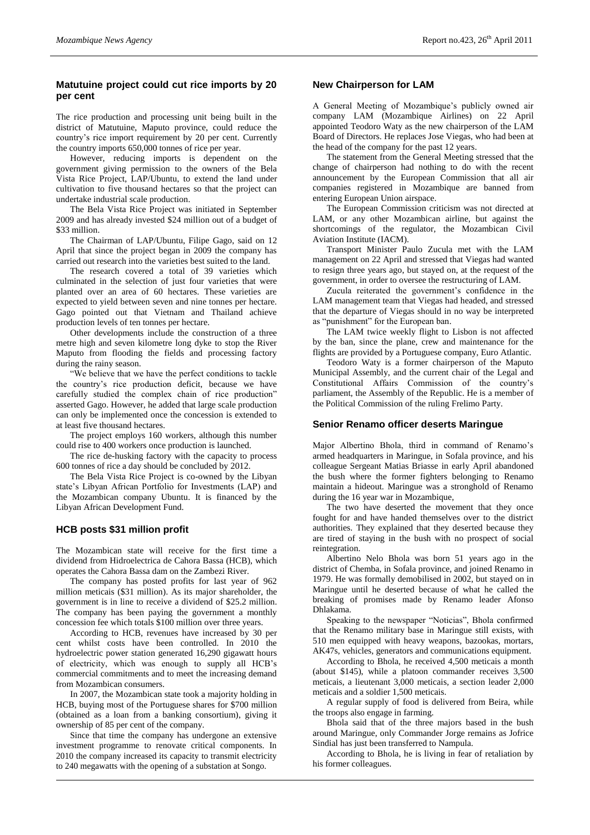# **Matutuine project could cut rice imports by 20 per cent**

The rice production and processing unit being built in the district of Matutuine, Maputo province, could reduce the country's rice import requirement by 20 per cent. Currently the country imports 650,000 tonnes of rice per year.

However, reducing imports is dependent on the government giving permission to the owners of the Bela Vista Rice Project, LAP/Ubuntu, to extend the land under cultivation to five thousand hectares so that the project can undertake industrial scale production.

The Bela Vista Rice Project was initiated in September 2009 and has already invested \$24 million out of a budget of \$33 million.

The Chairman of LAP/Ubuntu, Filipe Gago, said on 12 April that since the project began in 2009 the company has carried out research into the varieties best suited to the land.

The research covered a total of 39 varieties which culminated in the selection of just four varieties that were planted over an area of 60 hectares. These varieties are expected to yield between seven and nine tonnes per hectare. Gago pointed out that Vietnam and Thailand achieve production levels of ten tonnes per hectare.

Other developments include the construction of a three metre high and seven kilometre long dyke to stop the River Maputo from flooding the fields and processing factory during the rainy season.

"We believe that we have the perfect conditions to tackle the country's rice production deficit, because we have carefully studied the complex chain of rice production" asserted Gago. However, he added that large scale production can only be implemented once the concession is extended to at least five thousand hectares.

The project employs 160 workers, although this number could rise to 400 workers once production is launched.

The rice de-husking factory with the capacity to process 600 tonnes of rice a day should be concluded by 2012.

The Bela Vista Rice Project is co-owned by the Libyan state's Libyan African Portfolio for Investments (LAP) and the Mozambican company Ubuntu. It is financed by the Libyan African Development Fund.

# **HCB posts \$31 million profit**

The Mozambican state will receive for the first time a dividend from Hidroelectrica de Cahora Bassa (HCB), which operates the Cahora Bassa dam on the Zambezi River.

The company has posted profits for last year of 962 million meticais (\$31 million). As its major shareholder, the government is in line to receive a dividend of \$25.2 million. The company has been paying the government a monthly concession fee which totals \$100 million over three years.

According to HCB, revenues have increased by 30 per cent whilst costs have been controlled. In 2010 the hydroelectric power station generated 16,290 gigawatt hours of electricity, which was enough to supply all HCB's commercial commitments and to meet the increasing demand from Mozambican consumers.

In 2007, the Mozambican state took a majority holding in HCB, buying most of the Portuguese shares for \$700 million (obtained as a loan from a banking consortium), giving it ownership of 85 per cent of the company.

Since that time the company has undergone an extensive investment programme to renovate critical components. In 2010 the company increased its capacity to transmit electricity to 240 megawatts with the opening of a substation at Songo.

# **New Chairperson for LAM**

A General Meeting of Mozambique's publicly owned air company LAM (Mozambique Airlines) on 22 April appointed Teodoro Waty as the new chairperson of the LAM Board of Directors. He replaces Jose Viegas, who had been at the head of the company for the past 12 years.

The statement from the General Meeting stressed that the change of chairperson had nothing to do with the recent announcement by the European Commission that all air companies registered in Mozambique are banned from entering European Union airspace.

The European Commission criticism was not directed at LAM, or any other Mozambican airline, but against the shortcomings of the regulator, the Mozambican Civil Aviation Institute (IACM).

Transport Minister Paulo Zucula met with the LAM management on 22 April and stressed that Viegas had wanted to resign three years ago, but stayed on, at the request of the government, in order to oversee the restructuring of LAM.

Zucula reiterated the government's confidence in the LAM management team that Viegas had headed, and stressed that the departure of Viegas should in no way be interpreted as "punishment" for the European ban.

The LAM twice weekly flight to Lisbon is not affected by the ban, since the plane, crew and maintenance for the flights are provided by a Portuguese company, Euro Atlantic.

Teodoro Waty is a former chairperson of the Maputo Municipal Assembly, and the current chair of the Legal and Constitutional Affairs Commission of the country's parliament, the Assembly of the Republic. He is a member of the Political Commission of the ruling Frelimo Party.

# **Senior Renamo officer deserts Maringue**

Major Albertino Bhola, third in command of Renamo's armed headquarters in Maringue, in Sofala province, and his colleague Sergeant Matias Briasse in early April abandoned the bush where the former fighters belonging to Renamo maintain a hideout. Maringue was a stronghold of Renamo during the 16 year war in Mozambique,

The two have deserted the movement that they once fought for and have handed themselves over to the district authorities. They explained that they deserted because they are tired of staying in the bush with no prospect of social reintegration.

Albertino Nelo Bhola was born 51 years ago in the district of Chemba, in Sofala province, and joined Renamo in 1979. He was formally demobilised in 2002, but stayed on in Maringue until he deserted because of what he called the breaking of promises made by Renamo leader Afonso Dhlakama.

Speaking to the newspaper "Noticias", Bhola confirmed that the Renamo military base in Maringue still exists, with 510 men equipped with heavy weapons, bazookas, mortars, AK47s, vehicles, generators and communications equipment.

According to Bhola, he received 4,500 meticais a month (about \$145), while a platoon commander receives 3,500 meticais, a lieutenant 3,000 meticais, a section leader 2,000 meticais and a soldier 1,500 meticais.

A regular supply of food is delivered from Beira, while the troops also engage in farming.

Bhola said that of the three majors based in the bush around Maringue, only Commander Jorge remains as Jofrice Sindial has just been transferred to Nampula.

According to Bhola, he is living in fear of retaliation by his former colleagues.